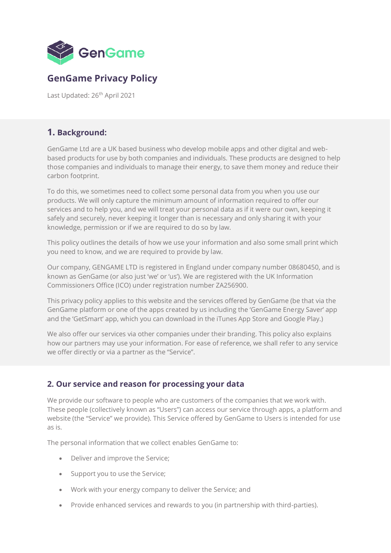

# **GenGame Privacy Policy**

Last Updated: 26<sup>th</sup> April 2021

# **1. Background:**

GenGame Ltd are a UK based business who develop mobile apps and other digital and webbased products for use by both companies and individuals. These products are designed to help those companies and individuals to manage their energy, to save them money and reduce their carbon footprint.

To do this, we sometimes need to collect some personal data from you when you use our products. We will only capture the minimum amount of information required to offer our services and to help you, and we will treat your personal data as if it were our own, keeping it safely and securely, never keeping it longer than is necessary and only sharing it with your knowledge, permission or if we are required to do so by law.

This policy outlines the details of how we use your information and also some small print which you need to know, and we are required to provide by law.

Our company, GENGAME LTD is registered in England under company number 08680450, and is known as GenGame (or also just 'we' or 'us'). We are registered with the UK Information Commissioners Office (ICO) under registration number ZA256900.

This privacy policy applies to this website and the services offered by GenGame (be that via the GenGame platform or one of the apps created by us including the 'GenGame Energy Saver' app and the 'GetSmart' app, which you can download in the iTunes App Store and Google Play.)

We also offer our services via other companies under their branding. This policy also explains how our partners may use your information. For ease of reference, we shall refer to any service we offer directly or via a partner as the "Service".

# **2. Our service and reason for processing your data**

We provide our software to people who are customers of the companies that we work with. These people (collectively known as "Users") can access our service through apps, a platform and website (the "Service" we provide). This Service offered by GenGame to Users is intended for use as is.

The personal information that we collect enables GenGame to:

- Deliver and improve the Service;
- Support you to use the Service;
- Work with your energy company to deliver the Service; and
- Provide enhanced services and rewards to you (in partnership with third-parties).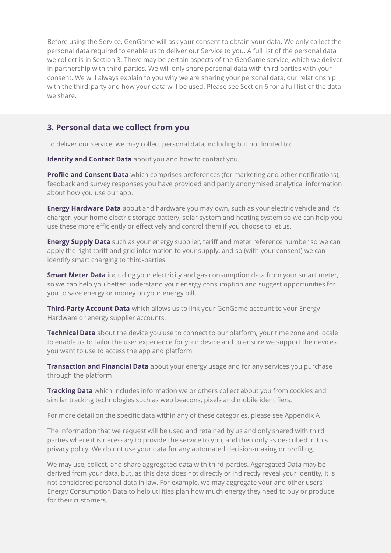Before using the Service, GenGame will ask your consent to obtain your data. We only collect the personal data required to enable us to deliver our Service to you. A full list of the personal data we collect is in Section 3. There may be certain aspects of the GenGame service, which we deliver in partnership with third-parties. We will only share personal data with third parties with your consent. We will always explain to you why we are sharing your personal data, our relationship with the third-party and how your data will be used. Please see Section 6 for a full list of the data we share.

## **3. Personal data we collect from you**

To deliver our service, we may collect personal data, including but not limited to:

**Identity and Contact Data** about you and how to contact you.

**Profile and Consent Data** which comprises preferences (for marketing and other notifications), feedback and survey responses you have provided and partly anonymised analytical information about how you use our app.

**Energy Hardware Data** about and hardware you may own, such as your electric vehicle and it's charger, your home electric storage battery, solar system and heating system so we can help you use these more efficiently or effectively and control them if you choose to let us.

**Energy Supply Data** such as your energy supplier, tariff and meter reference number so we can apply the right tariff and grid information to your supply, and so (with your consent) we can identify smart charging to third-parties.

**Smart Meter Data** including your electricity and gas consumption data from your smart meter, so we can help you better understand your energy consumption and suggest opportunities for you to save energy or money on your energy bill.

**Third-Party Account Data** which allows us to link your GenGame account to your Energy Hardware or energy supplier accounts.

**Technical Data** about the device you use to connect to our platform, your time zone and locale to enable us to tailor the user experience for your device and to ensure we support the devices you want to use to access the app and platform.

**Transaction and Financial Data** about your energy usage and for any services you purchase through the platform

**Tracking Data** which includes information we or others collect about you from cookies and similar tracking technologies such as web beacons, pixels and mobile identifiers.

For more detail on the specific data within any of these categories, please see Appendix A

The information that we request will be used and retained by us and only shared with third parties where it is necessary to provide the service to you, and then only as described in this privacy policy. We do not use your data for any automated decision-making or profiling.

We may use, collect, and share aggregated data with third-parties. Aggregated Data may be derived from your data, but, as this data does not directly or indirectly reveal your identity, it is not considered personal data in law. For example, we may aggregate your and other users' Energy Consumption Data to help utilities plan how much energy they need to buy or produce for their customers.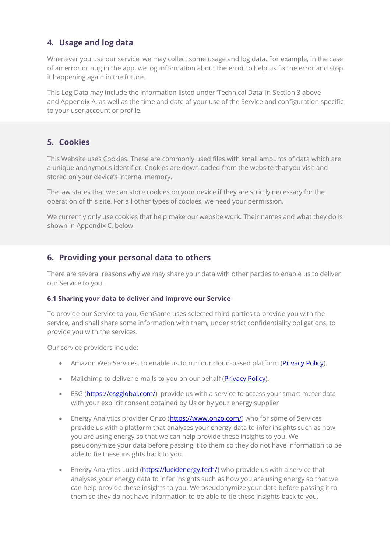# **4. Usage and log data**

Whenever you use our service, we may collect some usage and log data. For example, in the case of an error or bug in the app, we log information about the error to help us fix the error and stop it happening again in the future.

This Log Data may include the information listed under 'Technical Data' in Section 3 above and Appendix A, as well as the time and date of your use of the Service and configuration specific to your user account or profile.

# **5. Cookies**

This Website uses Cookies. These are commonly used files with small amounts of data which are a unique anonymous identifier. Cookies are downloaded from the website that you visit and stored on your device's internal memory.

The law states that we can store cookies on your device if they are strictly necessary for the operation of this site. For all other types of cookies, we need your permission.

We currently only use cookies that help make our website work. Their names and what they do is shown in Appendix C, below.

# **6. Providing your personal data to others**

There are several reasons why we may share your data with other parties to enable us to deliver our Service to you.

## **6.1 Sharing your data to deliver and improve our Service**

To provide our Service to you, GenGame uses selected third parties to provide you with the service, and shall share some information with them, under strict confidentiality obligations, to provide you with the services.

Our service providers include:

- Amazon Web Services, to enable us to run our cloud-based platform [\(Privacy Policy\)](https://aws.amazon.com/privacy/).
- Mailchimp to deliver e-mails to you on our behalf (**Privacy Policy**).
- ESG [\(https://esgglobal.com/\)](https://esgglobal.com/) provide us with a service to access your smart meter data with your explicit consent obtained by Us or by your energy supplier
- Energy Analytics provider Onzo [\(https://www.onzo.com/\)](https://www.onzo.com/) who for some of Services provide us with a platform that analyses your energy data to infer insights such as how you are using energy so that we can help provide these insights to you. We pseudonymize your data before passing it to them so they do not have information to be able to tie these insights back to you.
- Energy Analytics Lucid (**https://lucidenergy.tech/**) who provide us with a service that analyses your energy data to infer insights such as how you are using energy so that we can help provide these insights to you. We pseudonymize your data before passing it to them so they do not have information to be able to tie these insights back to you.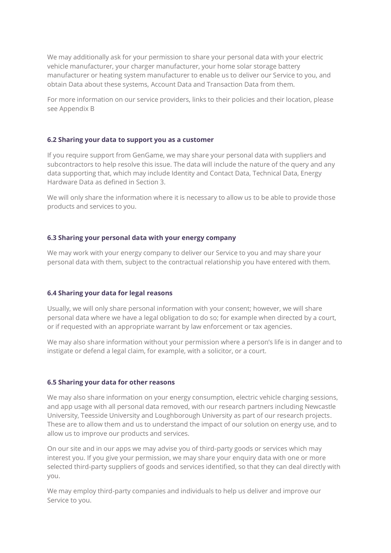We may additionally ask for your permission to share your personal data with your electric vehicle manufacturer, your charger manufacturer, your home solar storage battery manufacturer or heating system manufacturer to enable us to deliver our Service to you, and obtain Data about these systems, Account Data and Transaction Data from them.

For more information on our service providers, links to their policies and their location, please see Appendix B

#### **6.2 Sharing your data to support you as a customer**

If you require support from GenGame, we may share your personal data with suppliers and subcontractors to help resolve this issue. The data will include the nature of the query and any data supporting that, which may include Identity and Contact Data, Technical Data, Energy Hardware Data as defined in Section 3.

We will only share the information where it is necessary to allow us to be able to provide those products and services to you.

#### **6.3 Sharing your personal data with your energy company**

We may work with your energy company to deliver our Service to you and may share your personal data with them, subject to the contractual relationship you have entered with them.

#### **6.4 Sharing your data for legal reasons**

Usually, we will only share personal information with your consent; however, we will share personal data where we have a legal obligation to do so; for example when directed by a court, or if requested with an appropriate warrant by law enforcement or tax agencies.

We may also share information without your permission where a person's life is in danger and to instigate or defend a legal claim, for example, with a solicitor, or a court.

#### **6.5 Sharing your data for other reasons**

We may also share information on your energy consumption, electric vehicle charging sessions, and app usage with all personal data removed, with our research partners including Newcastle University, Teesside University and Loughborough University as part of our research projects. These are to allow them and us to understand the impact of our solution on energy use, and to allow us to improve our products and services.

On our site and in our apps we may advise you of third-party goods or services which may interest you. If you give your permission, we may share your enquiry data with one or more selected third-party suppliers of goods and services identified, so that they can deal directly with you.

We may employ third-party companies and individuals to help us deliver and improve our Service to you.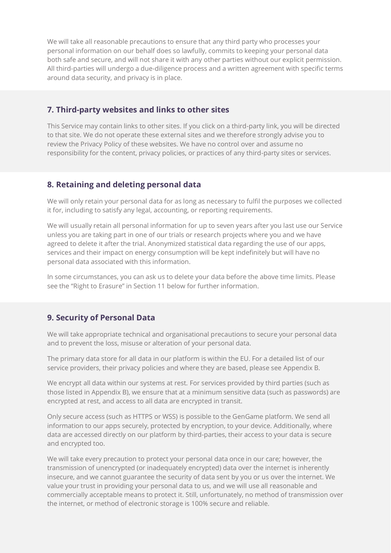We will take all reasonable precautions to ensure that any third party who processes your personal information on our behalf does so lawfully, commits to keeping your personal data both safe and secure, and will not share it with any other parties without our explicit permission. All third-parties will undergo a due-diligence process and a written agreement with specific terms around data security, and privacy is in place.

## **7. Third-party websites and links to other sites**

This Service may contain links to other sites. If you click on a third-party link, you will be directed to that site. We do not operate these external sites and we therefore strongly advise you to review the Privacy Policy of these websites. We have no control over and assume no responsibility for the content, privacy policies, or practices of any third-party sites or services.

## **8. Retaining and deleting personal data**

We will only retain your personal data for as long as necessary to fulfil the purposes we collected it for, including to satisfy any legal, accounting, or reporting requirements.

We will usually retain all personal information for up to seven years after you last use our Service unless you are taking part in one of our trials or research projects where you and we have agreed to delete it after the trial. Anonymized statistical data regarding the use of our apps, services and their impact on energy consumption will be kept indefinitely but will have no personal data associated with this information.

In some circumstances, you can ask us to delete your data before the above time limits. Please see the "Right to Erasure" in Section 11 below for further information.

## **9. Security of Personal Data**

We will take appropriate technical and organisational precautions to secure your personal data and to prevent the loss, misuse or alteration of your personal data.

The primary data store for all data in our platform is within the EU. For a detailed list of our service providers, their privacy policies and where they are based, please see Appendix B.

We encrypt all data within our systems at rest. For services provided by third parties (such as those listed in Appendix B), we ensure that at a minimum sensitive data (such as passwords) are encrypted at rest, and access to all data are encrypted in transit.

Only secure access (such as HTTPS or WSS) is possible to the GenGame platform. We send all information to our apps securely, protected by encryption, to your device. Additionally, where data are accessed directly on our platform by third-parties, their access to your data is secure and encrypted too.

We will take every precaution to protect your personal data once in our care; however, the transmission of unencrypted (or inadequately encrypted) data over the internet is inherently insecure, and we cannot guarantee the security of data sent by you or us over the internet. We value your trust in providing your personal data to us, and we will use all reasonable and commercially acceptable means to protect it. Still, unfortunately, no method of transmission over the internet, or method of electronic storage is 100% secure and reliable.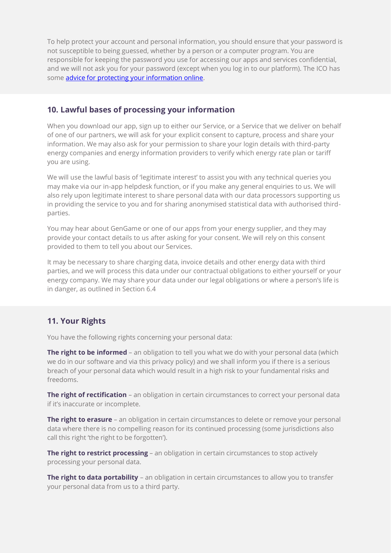To help protect your account and personal information, you should ensure that your password is not susceptible to being guessed, whether by a person or a computer program. You are responsible for keeping the password you use for accessing our apps and services confidential, and we will not ask you for your password (except when you log in to our platform). The ICO has some [advice for protecting your information online.](https://ico.org.uk/your-data-matters/online/social-networking/)

# **10. Lawful bases of processing your information**

When you download our app, sign up to either our Service, or a Service that we deliver on behalf of one of our partners, we will ask for your explicit consent to capture, process and share your information. We may also ask for your permission to share your login details with third-party energy companies and energy information providers to verify which energy rate plan or tariff you are using.

We will use the lawful basis of 'legitimate interest' to assist you with any technical queries you may make via our in-app helpdesk function, or if you make any general enquiries to us. We will also rely upon legitimate interest to share personal data with our data processors supporting us in providing the service to you and for sharing anonymised statistical data with authorised thirdparties.

You may hear about GenGame or one of our apps from your energy supplier, and they may provide your contact details to us after asking for your consent. We will rely on this consent provided to them to tell you about our Services.

It may be necessary to share charging data, invoice details and other energy data with third parties, and we will process this data under our contractual obligations to either yourself or your energy company. We may share your data under our legal obligations or where a person's life is in danger, as outlined in Section 6.4

## **11. Your Rights**

You have the following rights concerning your personal data:

**The right to be informed** – an obligation to tell you what we do with your personal data (which we do in our software and via this privacy policy) and we shall inform you if there is a serious breach of your personal data which would result in a high risk to your fundamental risks and freedoms.

**The right of rectification** – an obligation in certain circumstances to correct your personal data if it's inaccurate or incomplete.

**The right to erasure** – an obligation in certain circumstances to delete or remove your personal data where there is no compelling reason for its continued processing (some jurisdictions also call this right 'the right to be forgotten').

**The right to restrict processing** – an obligation in certain circumstances to stop actively processing your personal data.

**The right to data portability** - an obligation in certain circumstances to allow you to transfer your personal data from us to a third party.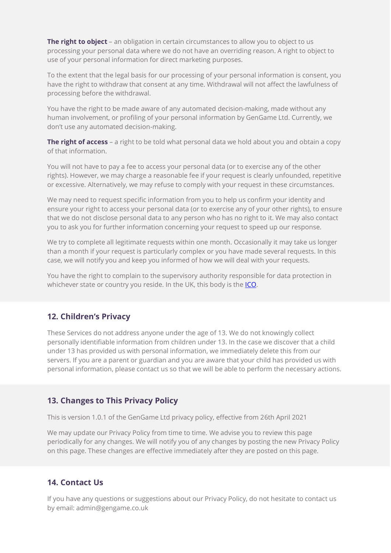**The right to object** – an obligation in certain circumstances to allow you to object to us processing your personal data where we do not have an overriding reason. A right to object to use of your personal information for direct marketing purposes.

To the extent that the legal basis for our processing of your personal information is consent, you have the right to withdraw that consent at any time. Withdrawal will not affect the lawfulness of processing before the withdrawal.

You have the right to be made aware of any automated decision-making, made without any human involvement, or profiling of your personal information by GenGame Ltd. Currently, we don't use any automated decision-making.

**The right of access** – a right to be told what personal data we hold about you and obtain a copy of that information.

You will not have to pay a fee to access your personal data (or to exercise any of the other rights). However, we may charge a reasonable fee if your request is clearly unfounded, repetitive or excessive. Alternatively, we may refuse to comply with your request in these circumstances.

We may need to request specific information from you to help us confirm your identity and ensure your right to access your personal data (or to exercise any of your other rights), to ensure that we do not disclose personal data to any person who has no right to it. We may also contact you to ask you for further information concerning your request to speed up our response.

We try to complete all legitimate requests within one month. Occasionally it may take us longer than a month if your request is particularly complex or you have made several requests. In this case, we will notify you and keep you informed of how we will deal with your requests.

You have the right to complain to the supervisory authority responsible for data protection in whichever state or country you reside. In the UK, this body is the [ICO.](http://www.ico.org.uk/)

## **12. Children's Privacy**

These Services do not address anyone under the age of 13. We do not knowingly collect personally identifiable information from children under 13. In the case we discover that a child under 13 has provided us with personal information, we immediately delete this from our servers. If you are a parent or guardian and you are aware that your child has provided us with personal information, please contact us so that we will be able to perform the necessary actions.

# **13. Changes to This Privacy Policy**

This is version 1.0.1 of the GenGame Ltd privacy policy, effective from 26th April 2021

We may update our Privacy Policy from time to time. We advise you to review this page periodically for any changes. We will notify you of any changes by posting the new Privacy Policy on this page. These changes are effective immediately after they are posted on this page.

## **14. Contact Us**

If you have any questions or suggestions about our Privacy Policy, do not hesitate to contact us by email: admin@gengame.co.uk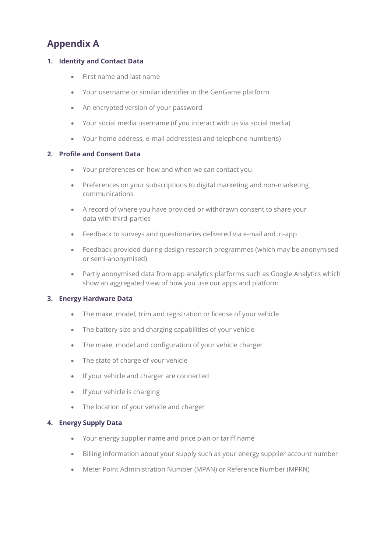# **Appendix A**

## **1. Identity and Contact Data**

- First name and last name
- Your username or similar identifier in the GenGame platform
- An encrypted version of your password
- Your social media username (if you interact with us via social media)
- Your home address, e-mail address(es) and telephone number(s)

## **2. Profile and Consent Data**

- Your preferences on how and when we can contact you
- Preferences on your subscriptions to digital marketing and non-marketing communications
- A record of where you have provided or withdrawn consent to share your data with third-parties
- Feedback to surveys and questionaries delivered via e-mail and in-app
- Feedback provided during design research programmes (which may be anonymised or semi-anonymised)
- Partly anonymised data from app analytics platforms such as Google Analytics which show an aggregated view of how you use our apps and platform

## **3. Energy Hardware Data**

- The make, model, trim and registration or license of your vehicle
- The battery size and charging capabilities of your vehicle
- The make, model and configuration of your vehicle charger
- The state of charge of your vehicle
- If your vehicle and charger are connected
- If your vehicle is charging
- The location of your vehicle and charger

## **4. Energy Supply Data**

- Your energy supplier name and price plan or tariff name
- Billing information about your supply such as your energy supplier account number
- Meter Point Administration Number (MPAN) or Reference Number (MPRN)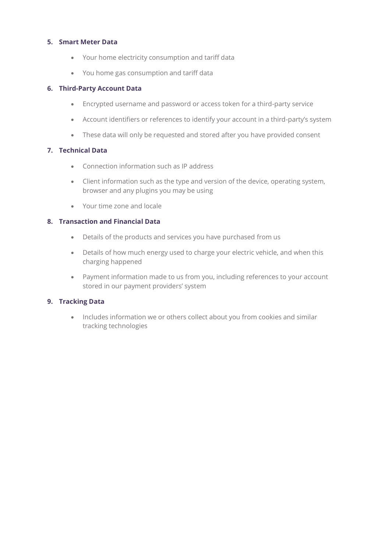### **5. Smart Meter Data**

- Your home electricity consumption and tariff data
- You home gas consumption and tariff data

#### **6. Third-Party Account Data**

- Encrypted username and password or access token for a third-party service
- Account identifiers or references to identify your account in a third-party's system
- These data will only be requested and stored after you have provided consent

## **7. Technical Data**

- Connection information such as IP address
- Client information such as the type and version of the device, operating system, browser and any plugins you may be using
- Your time zone and locale

#### **8. Transaction and Financial Data**

- Details of the products and services you have purchased from us
- Details of how much energy used to charge your electric vehicle, and when this charging happened
- Payment information made to us from you, including references to your account stored in our payment providers' system

## **9. Tracking Data**

• Includes information we or others collect about you from cookies and similar tracking technologies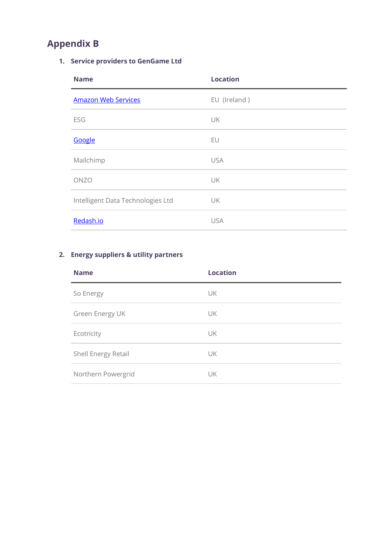# **Appendix B**

# **1. Service providers to GenGame Ltd**

| <b>Name</b>                       | <b>Location</b> |
|-----------------------------------|-----------------|
| <b>Amazon Web Services</b>        | EU (Ireland)    |
| ESG                               | UK              |
| Google                            | EU              |
| Mailchimp                         | <b>USA</b>      |
| ONZO                              | UK              |
| Intelligent Data Technologies Ltd | UK              |
| Redash.io                         | <b>USA</b>      |

# **2. Energy suppliers & utility partners**

| <b>Name</b>         | <b>Location</b> |
|---------------------|-----------------|
| So Energy           | UK              |
| Green Energy UK     | UK              |
| Ecotricity          | UK              |
| Shell Energy Retail | UK              |
| Northern Powergrid  | UK              |
|                     |                 |